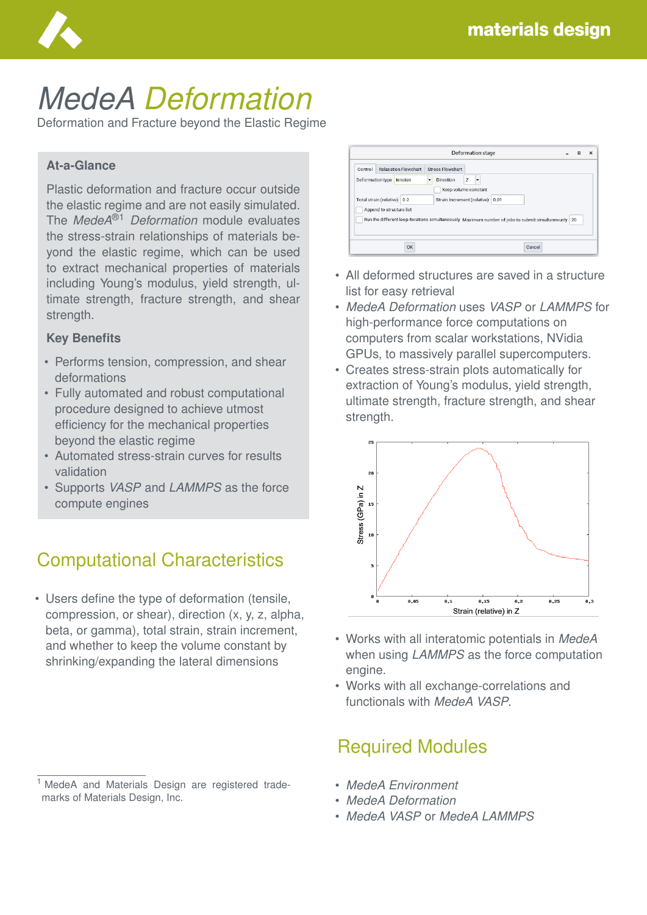

# *MedeA Deformation*

Deformation and Fracture beyond the Elastic Regime

#### **At-a-Glance**

Plastic deformation and fracture occur outside the elastic regime and are not easily simulated. The *MedeA*®1 *Deformation* module evaluates the stress-strain relationships of materials beyond the elastic regime, which can be used to extract mechanical properties of materials including Young's modulus, yield strength, ultimate strength, fracture strength, and shear strength.

#### **Key Benefits**

- Performs tension, compression, and shear deformations
- Fully automated and robust computational procedure designed to achieve utmost efficiency for the mechanical properties beyond the elastic regime
- Automated stress-strain curves for results validation
- Supports *VASP* and *LAMMPS* as the force compute engines

# Computational Characteristics

• Users define the type of deformation (tensile, compression, or shear), direction (x, y, z, alpha, beta, or gamma), total strain, strain increment, and whether to keep the volume constant by shrinking/expanding the lateral dimensions

| <b>Deformation stage</b>    |                                        |                                                                                                        | п | $\times$ |
|-----------------------------|----------------------------------------|--------------------------------------------------------------------------------------------------------|---|----------|
| Control<br>Deformation type | <b>Relaxation Flowchart</b><br>tension | <b>Stress Flowchart</b><br>Z<br>Direction<br>٠                                                         |   |          |
|                             | Total strain (relative) 0.2            | Keep volume constant<br>Strain Increment (relative) 0.01                                               |   |          |
|                             | Append to structure list               | Run the different loop iterations simultaneously Maximum number of jobs to submit simultaneously<br>20 |   |          |
|                             |                                        |                                                                                                        |   |          |

- All deformed structures are saved in a structure list for easy retrieval
- *MedeA Deformation* uses *VASP* or *LAMMPS* for high-performance force computations on computers from scalar workstations, NVidia GPUs, to massively parallel supercomputers.
- Creates stress-strain plots automatically for extraction of Young's modulus, yield strength, ultimate strength, fracture strength, and shear strength.



- Works with all interatomic potentials in *MedeA* when using *LAMMPS* as the force computation engine.
- Works with all exchange-correlations and functionals with *MedeA VASP*.

## Required Modules

- *MedeA Environment*
- *MedeA Deformation*
- *MedeA VASP* or *MedeA LAMMPS*

<sup>&</sup>lt;sup>1</sup> MedeA and Materials Design are registered trademarks of Materials Design, Inc.